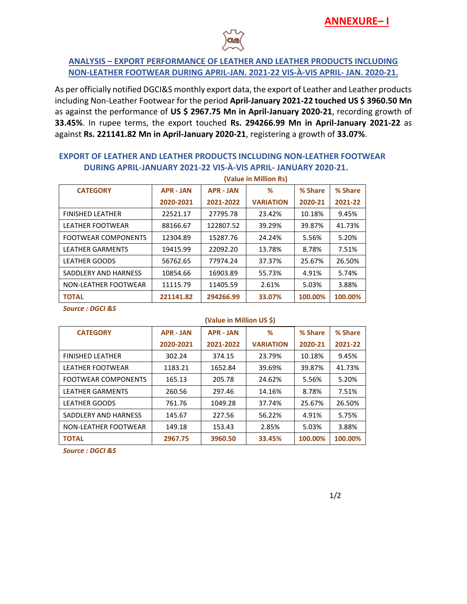

## **ANALYSIS – EXPORT PERFORMANCE OF LEATHER AND LEATHER PRODUCTS INCLUDING NON-LEATHER FOOTWEAR DURING APRIL-JAN. 2021-22 VIS-À-VIS APRIL- JAN. 2020-21.**

As per officially notified DGCI&S monthly export data, the export of Leather and Leather products including Non-Leather Footwear for the period **April-January 2021-22 touched US \$ 3960.50 Mn** as against the performance of **US \$ 2967.75 Mn in April-January 2020-21**, recording growth of **33.45%**. In rupee terms, the export touched **Rs. 294266.99 Mn in April-January 2021-22** as against **Rs. 221141.82 Mn in April-January 2020-21**, registering a growth of **33.07%**.

## **EXPORT OF LEATHER AND LEATHER PRODUCTS INCLUDING NON-LEATHER FOOTWEAR DURING APRIL-JANUARY 2021-22 VIS-À-VIS APRIL- JANUARY 2020-21.**

|                            | (Value in Million Rs) |                     |                  |         |         |  |  |  |
|----------------------------|-----------------------|---------------------|------------------|---------|---------|--|--|--|
| <b>CATEGORY</b>            | <b>APR - JAN</b>      | <b>APR - JAN</b>    | ℅                | % Share | % Share |  |  |  |
|                            | 2020-2021             | 2021-2022           | <b>VARIATION</b> | 2020-21 | 2021-22 |  |  |  |
| <b>FINISHED LEATHER</b>    | 22521.17              | 27795.78            | 23.42%           | 10.18%  | 9.45%   |  |  |  |
| <b>LEATHER FOOTWEAR</b>    | 88166.67              | 39.29%<br>122807.52 |                  | 39.87%  | 41.73%  |  |  |  |
| <b>FOOTWEAR COMPONENTS</b> | 12304.89              | 15287.76            | 24.24%           | 5.56%   | 5.20%   |  |  |  |
| <b>LEATHER GARMENTS</b>    | 19415.99              | 22092.20            | 13.78%           | 8.78%   | 7.51%   |  |  |  |
| <b>LEATHER GOODS</b>       | 56762.65              | 77974.24            | 37.37%           | 25.67%  | 26.50%  |  |  |  |
| SADDLERY AND HARNESS       | 10854.66              | 16903.89            | 55.73%           | 4.91%   | 5.74%   |  |  |  |
| NON-LEATHER FOOTWEAR       | 11115.79              | 11405.59            | 2.61%            | 5.03%   | 3.88%   |  |  |  |
| <b>TOTAL</b>               | 221141.82             | 294266.99           | 33.07%           | 100.00% | 100.00% |  |  |  |

*Source : DGCI &S*

|                            | (Value in Million US \$) |                  |                  |         |         |  |  |
|----------------------------|--------------------------|------------------|------------------|---------|---------|--|--|
| <b>CATEGORY</b>            | <b>APR - JAN</b>         | <b>APR - JAN</b> | ℅                | % Share | % Share |  |  |
|                            | 2020-2021                | 2021-2022        | <b>VARIATION</b> | 2020-21 | 2021-22 |  |  |
| <b>FINISHED LEATHER</b>    | 302.24                   | 374.15           | 23.79%           | 10.18%  | 9.45%   |  |  |
| <b>LEATHER FOOTWEAR</b>    | 1183.21                  | 1652.84          | 39.69%           | 39.87%  | 41.73%  |  |  |
| <b>FOOTWEAR COMPONENTS</b> | 165.13                   | 205.78<br>24.62% |                  | 5.56%   | 5.20%   |  |  |
| <b>LEATHER GARMENTS</b>    | 260.56                   | 297.46           | 14.16%           | 8.78%   | 7.51%   |  |  |
| <b>LEATHER GOODS</b>       | 761.76                   | 1049.28          | 37.74%           | 25.67%  | 26.50%  |  |  |
| SADDLERY AND HARNESS       | 145.67                   | 227.56           | 56.22%           |         | 5.75%   |  |  |
| NON-LEATHER FOOTWEAR       | 149.18                   | 153.43           | 2.85%            | 5.03%   | 3.88%   |  |  |
| <b>TOTAL</b>               | 2967.75                  | 3960.50          | 33.45%           | 100.00% | 100.00% |  |  |

*Source : DGCI &S*